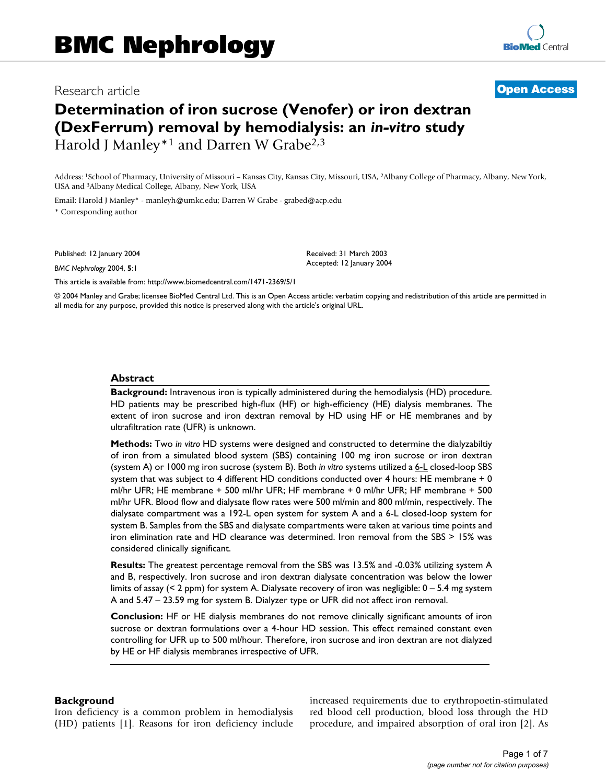# Research article **[Open Access](http://www.biomedcentral.com/info/about/charter/)**

# **Determination of iron sucrose (Venofer) or iron dextran (DexFerrum) removal by hemodialysis: an** *in-vitro* **study** Harold J Manley<sup>\*1</sup> and Darren W Grabe<sup>2,3</sup>

Address: 1School of Pharmacy, University of Missouri – Kansas City, Kansas City, Missouri, USA, 2Albany College of Pharmacy, Albany, New York, USA and 3Albany Medical College, Albany, New York, USA

Email: Harold J Manley\* - manleyh@umkc.edu; Darren W Grabe - grabed@acp.edu \* Corresponding author

Published: 12 January 2004

*BMC Nephrology* 2004, **5**:1

Received: 31 March 2003 Accepted: 12 January 2004

[This article is available from: http://www.biomedcentral.com/1471-2369/5/1](http://www.biomedcentral.com/1471-2369/5/1)

© 2004 Manley and Grabe; licensee BioMed Central Ltd. This is an Open Access article: verbatim copying and redistribution of this article are permitted in all media for any purpose, provided this notice is preserved along with the article's original URL.

#### **Abstract**

**Background:** Intravenous iron is typically administered during the hemodialysis (HD) procedure. HD patients may be prescribed high-flux (HF) or high-efficiency (HE) dialysis membranes. The extent of iron sucrose and iron dextran removal by HD using HF or HE membranes and by ultrafiltration rate (UFR) is unknown.

**Methods:** Two *in vitro* HD systems were designed and constructed to determine the dialyzabiltiy of iron from a simulated blood system (SBS) containing 100 mg iron sucrose or iron dextran (system A) or 1000 mg iron sucrose (system B). Both *in vitro* systems utilized a 6-L closed-loop SBS system that was subject to 4 different HD conditions conducted over 4 hours: HE membrane + 0 ml/hr UFR; HE membrane + 500 ml/hr UFR; HF membrane + 0 ml/hr UFR; HF membrane + 500 ml/hr UFR. Blood flow and dialysate flow rates were 500 ml/min and 800 ml/min, respectively. The dialysate compartment was a 192-L open system for system A and a 6-L closed-loop system for system B. Samples from the SBS and dialysate compartments were taken at various time points and iron elimination rate and HD clearance was determined. Iron removal from the SBS > 15% was considered clinically significant.

**Results:** The greatest percentage removal from the SBS was 13.5% and -0.03% utilizing system A and B, respectively. Iron sucrose and iron dextran dialysate concentration was below the lower limits of assay (< 2 ppm) for system A. Dialysate recovery of iron was negligible: 0 – 5.4 mg system A and 5.47 – 23.59 mg for system B. Dialyzer type or UFR did not affect iron removal.

**Conclusion:** HF or HE dialysis membranes do not remove clinically significant amounts of iron sucrose or dextran formulations over a 4-hour HD session. This effect remained constant even controlling for UFR up to 500 ml/hour. Therefore, iron sucrose and iron dextran are not dialyzed by HE or HF dialysis membranes irrespective of UFR.

#### **Background**

Iron deficiency is a common problem in hemodialysis (HD) patients [1]. Reasons for iron deficiency include increased requirements due to erythropoetin-stimulated red blood cell production, blood loss through the HD procedure, and impaired absorption of oral iron [2]. As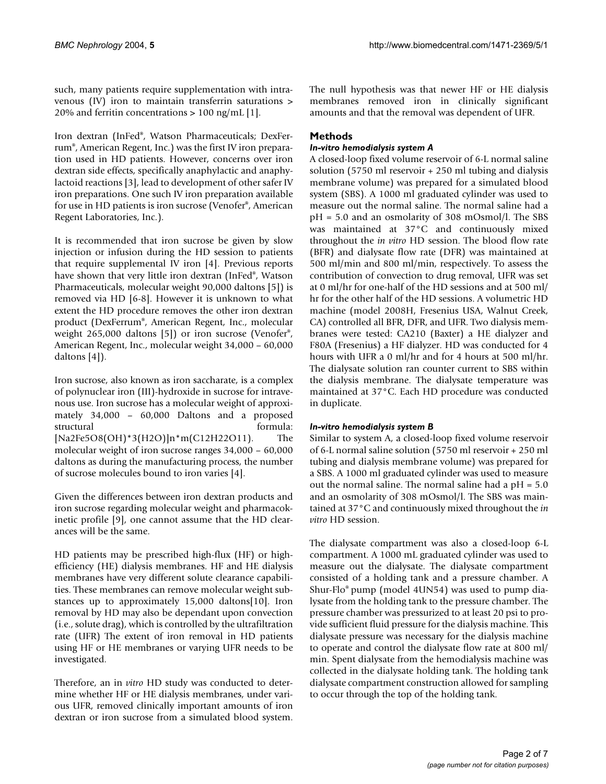such, many patients require supplementation with intravenous (IV) iron to maintain transferrin saturations > 20% and ferritin concentrations > 100 ng/mL [1].

Iron dextran (InFed®, Watson Pharmaceuticals; DexFerrum®, American Regent, Inc.) was the first IV iron preparation used in HD patients. However, concerns over iron dextran side effects, specifically anaphylactic and anaphylactoid reactions [3], lead to development of other safer IV iron preparations. One such IV iron preparation available for use in HD patients is iron sucrose (Venofer®, American Regent Laboratories, Inc.).

It is recommended that iron sucrose be given by slow injection or infusion during the HD session to patients that require supplemental IV iron [4]. Previous reports have shown that very little iron dextran (InFed®, Watson Pharmaceuticals, molecular weight 90,000 daltons [5]) is removed via HD [6-8]. However it is unknown to what extent the HD procedure removes the other iron dextran product (DexFerrum®, American Regent, Inc., molecular weight 265,000 daltons [5]) or iron sucrose (Venofer®, American Regent, Inc., molecular weight 34,000 – 60,000 daltons [4]).

Iron sucrose, also known as iron saccharate, is a complex of polynuclear iron (III)-hydroxide in sucrose for intravenous use. Iron sucrose has a molecular weight of approximately 34,000 – 60,000 Daltons and a proposed structural formula: [Na2Fe5O8(OH)\*3(H2O)]n\*m(C12H22O11). The molecular weight of iron sucrose ranges 34,000 – 60,000 daltons as during the manufacturing process, the number of sucrose molecules bound to iron varies [4].

Given the differences between iron dextran products and iron sucrose regarding molecular weight and pharmacokinetic profile [9], one cannot assume that the HD clearances will be the same.

HD patients may be prescribed high-flux (HF) or highefficiency (HE) dialysis membranes. HF and HE dialysis membranes have very different solute clearance capabilities. These membranes can remove molecular weight substances up to approximately 15,000 daltons[10]. Iron removal by HD may also be dependant upon convection (i.e., solute drag), which is controlled by the ultrafiltration rate (UFR) The extent of iron removal in HD patients using HF or HE membranes or varying UFR needs to be investigated.

Therefore, an in *vitro* HD study was conducted to determine whether HF or HE dialysis membranes, under various UFR, removed clinically important amounts of iron dextran or iron sucrose from a simulated blood system.

The null hypothesis was that newer HF or HE dialysis membranes removed iron in clinically significant amounts and that the removal was dependent of UFR.

# **Methods**

# *In-vitro hemodialysis system A*

A closed-loop fixed volume reservoir of 6-L normal saline solution (5750 ml reservoir + 250 ml tubing and dialysis membrane volume) was prepared for a simulated blood system (SBS). A 1000 ml graduated cylinder was used to measure out the normal saline. The normal saline had a pH = 5.0 and an osmolarity of 308 mOsmol/l. The SBS was maintained at 37°C and continuously mixed throughout the *in vitro* HD session. The blood flow rate (BFR) and dialysate flow rate (DFR) was maintained at 500 ml/min and 800 ml/min, respectively. To assess the contribution of convection to drug removal, UFR was set at 0 ml/hr for one-half of the HD sessions and at 500 ml/ hr for the other half of the HD sessions. A volumetric HD machine (model 2008H, Fresenius USA, Walnut Creek, CA) controlled all BFR, DFR, and UFR. Two dialysis membranes were tested: CA210 (Baxter) a HE dialyzer and F80A (Fresenius) a HF dialyzer. HD was conducted for 4 hours with UFR a 0 ml/hr and for 4 hours at 500 ml/hr. The dialysate solution ran counter current to SBS within the dialysis membrane. The dialysate temperature was maintained at 37°C. Each HD procedure was conducted in duplicate.

# *In-vitro hemodialysis system B*

Similar to system A, a closed-loop fixed volume reservoir of 6-L normal saline solution (5750 ml reservoir + 250 ml tubing and dialysis membrane volume) was prepared for a SBS. A 1000 ml graduated cylinder was used to measure out the normal saline. The normal saline had a pH = 5.0 and an osmolarity of 308 mOsmol/l. The SBS was maintained at 37°C and continuously mixed throughout the *in vitro* HD session.

The dialysate compartment was also a closed-loop 6-L compartment. A 1000 mL graduated cylinder was used to measure out the dialysate. The dialysate compartment consisted of a holding tank and a pressure chamber. A Shur-Flo® pump (model 4UN54) was used to pump dialysate from the holding tank to the pressure chamber. The pressure chamber was pressurized to at least 20 psi to provide sufficient fluid pressure for the dialysis machine. This dialysate pressure was necessary for the dialysis machine to operate and control the dialysate flow rate at 800 ml/ min. Spent dialysate from the hemodialysis machine was collected in the dialysate holding tank. The holding tank dialysate compartment construction allowed for sampling to occur through the top of the holding tank.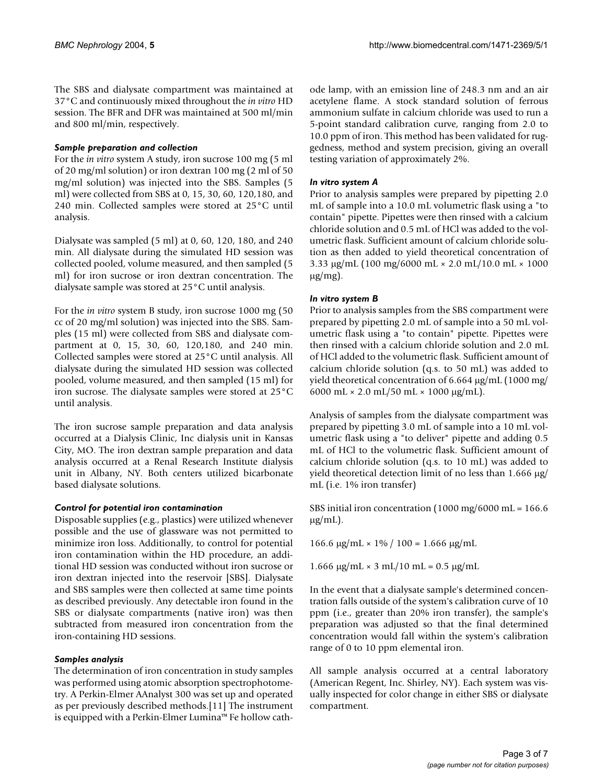The SBS and dialysate compartment was maintained at 37°C and continuously mixed throughout the *in vitro* HD session. The BFR and DFR was maintained at 500 ml/min and 800 ml/min, respectively.

# *Sample preparation and collection*

For the *in vitro* system A study, iron sucrose 100 mg (5 ml of 20 mg/ml solution) or iron dextran 100 mg (2 ml of 50 mg/ml solution) was injected into the SBS. Samples (5 ml) were collected from SBS at 0, 15, 30, 60, 120,180, and 240 min. Collected samples were stored at 25°C until analysis.

Dialysate was sampled (5 ml) at 0, 60, 120, 180, and 240 min. All dialysate during the simulated HD session was collected pooled, volume measured, and then sampled (5 ml) for iron sucrose or iron dextran concentration. The dialysate sample was stored at 25°C until analysis.

For the *in vitro* system B study, iron sucrose 1000 mg (50 cc of 20 mg/ml solution) was injected into the SBS. Samples (15 ml) were collected from SBS and dialysate compartment at 0, 15, 30, 60, 120,180, and 240 min. Collected samples were stored at 25°C until analysis. All dialysate during the simulated HD session was collected pooled, volume measured, and then sampled (15 ml) for iron sucrose. The dialysate samples were stored at 25°C until analysis.

The iron sucrose sample preparation and data analysis occurred at a Dialysis Clinic, Inc dialysis unit in Kansas City, MO. The iron dextran sample preparation and data analysis occurred at a Renal Research Institute dialysis unit in Albany, NY. Both centers utilized bicarbonate based dialysate solutions.

# *Control for potential iron contamination*

Disposable supplies (e.g., plastics) were utilized whenever possible and the use of glassware was not permitted to minimize iron loss. Additionally, to control for potential iron contamination within the HD procedure, an additional HD session was conducted without iron sucrose or iron dextran injected into the reservoir [SBS]. Dialysate and SBS samples were then collected at same time points as described previously. Any detectable iron found in the SBS or dialysate compartments (native iron) was then subtracted from measured iron concentration from the iron-containing HD sessions.

# *Samples analysis*

The determination of iron concentration in study samples was performed using atomic absorption spectrophotometry. A Perkin-Elmer AAnalyst 300 was set up and operated as per previously described methods.[11] The instrument is equipped with a Perkin-Elmer Lumina™ Fe hollow cathode lamp, with an emission line of 248.3 nm and an air acetylene flame. A stock standard solution of ferrous ammonium sulfate in calcium chloride was used to run a 5-point standard calibration curve, ranging from 2.0 to 10.0 ppm of iron. This method has been validated for ruggedness, method and system precision, giving an overall testing variation of approximately 2%.

# *In vitro system A*

Prior to analysis samples were prepared by pipetting 2.0 mL of sample into a 10.0 mL volumetric flask using a "to contain" pipette. Pipettes were then rinsed with a calcium chloride solution and 0.5 mL of HCl was added to the volumetric flask. Sufficient amount of calcium chloride solution as then added to yield theoretical concentration of 3.33 µg/mL (100 mg/6000 mL × 2.0 mL/10.0 mL × 1000  $\mu$ g/mg).

# *In vitro system B*

Prior to analysis samples from the SBS compartment were prepared by pipetting 2.0 mL of sample into a 50 mL volumetric flask using a "to contain" pipette. Pipettes were then rinsed with a calcium chloride solution and 2.0 mL of HCl added to the volumetric flask. Sufficient amount of calcium chloride solution (q.s. to 50 mL) was added to yield theoretical concentration of 6.664 µg/mL (1000 mg/ 6000 mL  $\times$  2.0 mL/50 mL  $\times$  1000 µg/mL).

Analysis of samples from the dialysate compartment was prepared by pipetting 3.0 mL of sample into a 10 mL volumetric flask using a "to deliver" pipette and adding 0.5 mL of HCl to the volumetric flask. Sufficient amount of calcium chloride solution (q.s. to 10 mL) was added to yield theoretical detection limit of no less than 1.666 µg/ mL (i.e. 1% iron transfer)

SBS initial iron concentration (1000 mg/6000 mL = 166.6  $\mu$ g/mL).

166.6 μg/mL × 1% / 100 = 1.666 μg/mL

1.666 μg/mL × 3 mL/10 mL = 0.5 μg/mL

In the event that a dialysate sample's determined concentration falls outside of the system's calibration curve of 10 ppm (i.e., greater than 20% iron transfer), the sample's preparation was adjusted so that the final determined concentration would fall within the system's calibration range of 0 to 10 ppm elemental iron.

All sample analysis occurred at a central laboratory (American Regent, Inc. Shirley, NY). Each system was visually inspected for color change in either SBS or dialysate compartment.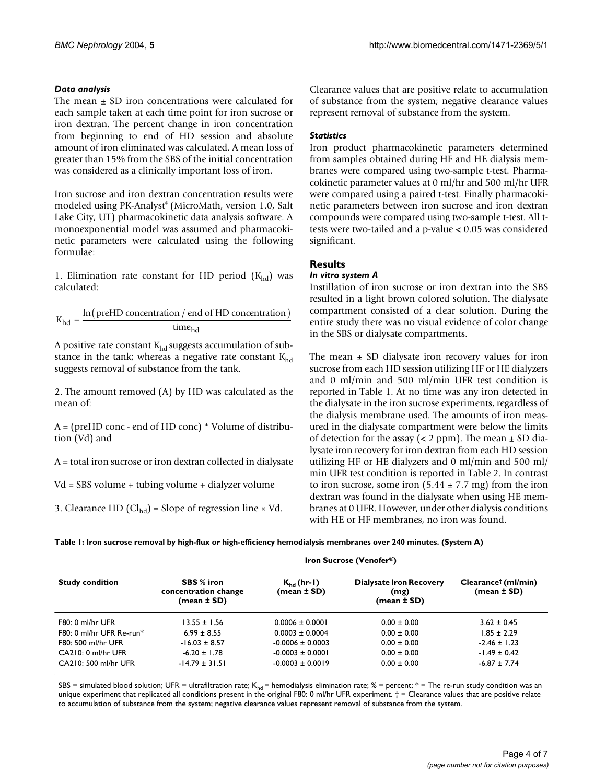# *Data analysis*

The mean  $\pm$  SD iron concentrations were calculated for each sample taken at each time point for iron sucrose or iron dextran. The percent change in iron concentration from beginning to end of HD session and absolute amount of iron eliminated was calculated. A mean loss of greater than 15% from the SBS of the initial concentration was considered as a clinically important loss of iron.

Iron sucrose and iron dextran concentration results were modeled using PK-Analyst® (MicroMath, version 1.0, Salt Lake City, UT) pharmacokinetic data analysis software. A monoexponential model was assumed and pharmacokinetic parameters were calculated using the following formulae:

1. Elimination rate constant for HD period  $(K_{hd})$  was calculated:

$$
K_{hd} = \frac{\ln(\text{preHD concentration / end of HD concentration})}{\text{time}_{hd}}
$$

A positive rate constant  $K_{hd}$  suggests accumulation of substance in the tank; whereas a negative rate constant  $K_{hd}$ suggests removal of substance from the tank.

2. The amount removed (A) by HD was calculated as the mean of:

A = (preHD conc - end of HD conc) \* Volume of distribution (Vd) and

A = total iron sucrose or iron dextran collected in dialysate

Vd = SBS volume + tubing volume + dialyzer volume

3. Clearance HD  $(Cl<sub>hd</sub>)$  = Slope of regression line  $\times$  Vd.

Clearance values that are positive relate to accumulation of substance from the system; negative clearance values represent removal of substance from the system.

# *Statistics*

Iron product pharmacokinetic parameters determined from samples obtained during HF and HE dialysis membranes were compared using two-sample t-test. Pharmacokinetic parameter values at 0 ml/hr and 500 ml/hr UFR were compared using a paired t-test. Finally pharmacokinetic parameters between iron sucrose and iron dextran compounds were compared using two-sample t-test. All ttests were two-tailed and a p-value < 0.05 was considered significant.

# **Results**

## *In vitro system A*

Instillation of iron sucrose or iron dextran into the SBS resulted in a light brown colored solution. The dialysate compartment consisted of a clear solution. During the entire study there was no visual evidence of color change in the SBS or dialysate compartments.

The mean  $\pm$  SD dialysate iron recovery values for iron sucrose from each HD session utilizing HF or HE dialyzers and 0 ml/min and 500 ml/min UFR test condition is reported in Table [1.](#page-3-0) At no time was any iron detected in the dialysate in the iron sucrose experiments, regardless of the dialysis membrane used. The amounts of iron measured in the dialysate compartment were below the limits of detection for the assay ( $\lt$  2 ppm). The mean  $\pm$  SD dialysate iron recovery for iron dextran from each HD session utilizing HF or HE dialyzers and 0 ml/min and 500 ml/ min UFR test condition is reported in Table [2.](#page-4-0) In contrast to iron sucrose, some iron  $(5.44 \pm 7.7 \text{ mg})$  from the iron dextran was found in the dialysate when using HE membranes at 0 UFR. However, under other dialysis conditions with HE or HF membranes, no iron was found.

<span id="page-3-0"></span>

| Table I: Iron sucrose removal by high-flux or high-efficiency hemodialysis membranes over 240 minutes. (System A) |  |  |
|-------------------------------------------------------------------------------------------------------------------|--|--|
|-------------------------------------------------------------------------------------------------------------------|--|--|

| <b>Study condition</b>    | Iron Sucrose (Venofer <sup>®</sup> )              |                                    |                                                           |                                                    |
|---------------------------|---------------------------------------------------|------------------------------------|-----------------------------------------------------------|----------------------------------------------------|
|                           | SBS % iron<br>concentration change<br>(mean ± SD) | $K_{hd}$ (hr-1)<br>$(mean \pm SD)$ | <b>Dialysate Iron Recovery</b><br>(mg)<br>$(mean \pm SD)$ | Clearance <sup>†</sup> (ml/min)<br>$(mean \pm SD)$ |
| $F80:0$ ml/hr UFR         | $13.55 + 1.56$                                    | $0.0006 + 0.0001$                  | $0.00 + 0.00$                                             | $3.62 + 0.45$                                      |
| $F80:0$ ml/hr UFR Re-run* | $6.99 + 8.55$                                     | $0.0003 \pm 0.0004$                | $0.00 \pm 0.00$                                           | 1.85 + 2.29                                        |
| F80: 500 ml/hr UFR        | $-16.03 \pm 8.57$                                 | $-0.0006 \pm 0.0003$               | $0.00 \pm 0.00$                                           | $-2.46 \pm 1.23$                                   |
| CA210: 0 ml/hr UFR        | $-6.20 \pm 1.78$                                  | $-0.0003 \pm 0.0001$               | $0.00 \pm 0.00$                                           | $-1.49 \pm 0.42$                                   |
| CA210: 500 ml/hr UFR      | $-14.79 \pm 31.51$                                | $-0.0003 \pm 0.0019$               | $0.00 \pm 0.00$                                           | $-6.87 \pm 7.74$                                   |

SBS = simulated blood solution; UFR = ultrafiltration rate;  $K_{hd}$  = hemodialysis elimination rate; % = percent; \* = The re-run study condition was an unique experiment that replicated all conditions present in the original F80: 0 ml/hr UFR experiment.  $\dagger$  = Clearance values that are positive relate to accumulation of substance from the system; negative clearance values represent removal of substance from the system.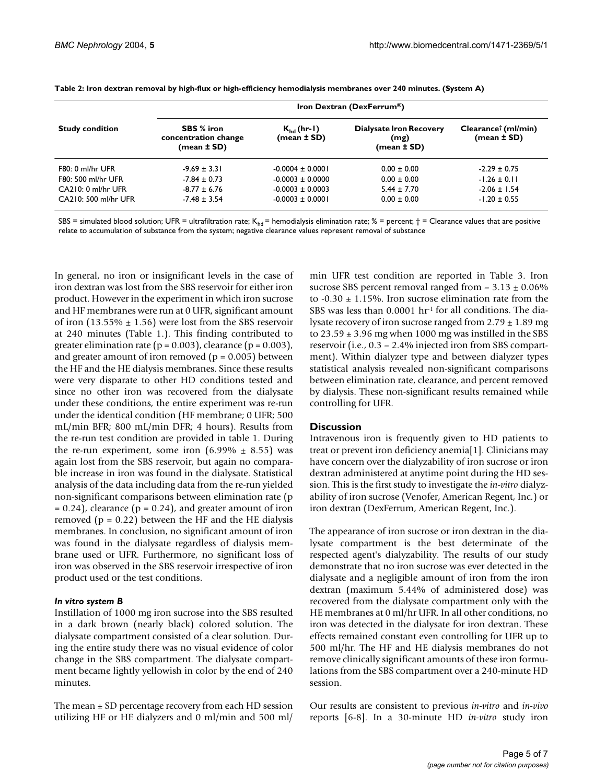| <b>Study condition</b> | Iron Dextran (DexFerrum <sup>®</sup> )            |                                    |                                                       |                                                   |
|------------------------|---------------------------------------------------|------------------------------------|-------------------------------------------------------|---------------------------------------------------|
|                        | SBS % iron<br>concentration change<br>(mean ± SD) | $K_{hd}$ (hr-1)<br>$(mean \pm SD)$ | <b>Dialysate Iron Recovery</b><br>(mg)<br>(mean ± SD) | $Clearance^{\dagger}$ (ml/min)<br>$(mean \pm SD)$ |
| F80: 0 ml/hr UFR       | $-9.69 \pm 3.31$                                  | $-0.0004 \pm 0.0001$               | $0.00 \pm 0.00$                                       | $-2.29 \pm 0.75$                                  |
| F80: 500 ml/hr UFR     | $-7.84 \pm 0.73$                                  | $-0.0003 \pm 0.0000$               | $0.00 \pm 0.00$                                       | $-1.26 \pm 0.11$                                  |
| CA210: 0 ml/hr UFR     | $-8.77 \pm 6.76$                                  | $-0.0003 \pm 0.0003$               | $5.44 \pm 7.70$                                       | $-2.06 \pm 1.54$                                  |
| CA210: 500 ml/hr UFR   | $-7.48 \pm 3.54$                                  | $-0.0003 \pm 0.0001$               | $0.00 \pm 0.00$                                       | $-1.20 \pm 0.55$                                  |

<span id="page-4-0"></span>**Table 2: Iron dextran removal by high-flux or high-efficiency hemodialysis membranes over 240 minutes. (System A)**

SBS = simulated blood solution; UFR = ultrafiltration rate;  $K_{bd}$  = hemodialysis elimination rate; % = percent;  $\dagger$  = Clearance values that are positive relate to accumulation of substance from the system; negative clearance values represent removal of substance

In general, no iron or insignificant levels in the case of iron dextran was lost from the SBS reservoir for either iron product. However in the experiment in which iron sucrose and HF membranes were run at 0 UFR, significant amount of iron (13.55%  $\pm$  1.56) were lost from the SBS reservoir at 240 minutes (Table [1](#page-3-0).). This finding contributed to greater elimination rate ( $p = 0.003$ ), clearance ( $p = 0.003$ ), and greater amount of iron removed ( $p = 0.005$ ) between the HF and the HE dialysis membranes. Since these results were very disparate to other HD conditions tested and since no other iron was recovered from the dialysate under these conditions, the entire experiment was re-run under the identical condition (HF membrane; 0 UFR; 500 mL/min BFR; 800 mL/min DFR; 4 hours). Results from the re-run test condition are provided in table [1](#page-3-0). During the re-run experiment, some iron  $(6.99\% \pm 8.55)$  was again lost from the SBS reservoir, but again no comparable increase in iron was found in the dialysate. Statistical analysis of the data including data from the re-run yielded non-significant comparisons between elimination rate (p  $= 0.24$ ), clearance ( $p = 0.24$ ), and greater amount of iron removed ( $p = 0.22$ ) between the HF and the HE dialysis membranes. In conclusion, no significant amount of iron was found in the dialysate regardless of dialysis membrane used or UFR. Furthermore, no significant loss of iron was observed in the SBS reservoir irrespective of iron product used or the test conditions.

#### *In vitro system B*

Instillation of 1000 mg iron sucrose into the SBS resulted in a dark brown (nearly black) colored solution. The dialysate compartment consisted of a clear solution. During the entire study there was no visual evidence of color change in the SBS compartment. The dialysate compartment became lightly yellowish in color by the end of 240 minutes.

The mean  $\pm$  SD percentage recovery from each HD session utilizing HF or HE dialyzers and 0 ml/min and 500 ml/

min UFR test condition are reported in Table [3.](#page-5-0) Iron sucrose SBS percent removal ranged from  $-3.13 \pm 0.06\%$ to  $-0.30 \pm 1.15$ %. Iron sucrose elimination rate from the SBS was less than  $0.0001$  hr<sup>1</sup> for all conditions. The dialysate recovery of iron sucrose ranged from  $2.79 \pm 1.89$  mg to  $23.59 \pm 3.96$  mg when 1000 mg was instilled in the SBS reservoir (i.e., 0.3 – 2.4% injected iron from SBS compartment). Within dialyzer type and between dialyzer types statistical analysis revealed non-significant comparisons between elimination rate, clearance, and percent removed by dialysis. These non-significant results remained while controlling for UFR.

# **Discussion**

Intravenous iron is frequently given to HD patients to treat or prevent iron deficiency anemia[1]. Clinicians may have concern over the dialyzability of iron sucrose or iron dextran administered at anytime point during the HD session. This is the first study to investigate the *in-vitro* dialyzability of iron sucrose (Venofer, American Regent, Inc.) or iron dextran (DexFerrum, American Regent, Inc.).

The appearance of iron sucrose or iron dextran in the dialysate compartment is the best determinate of the respected agent's dialyzability. The results of our study demonstrate that no iron sucrose was ever detected in the dialysate and a negligible amount of iron from the iron dextran (maximum 5.44% of administered dose) was recovered from the dialysate compartment only with the HE membranes at 0 ml/hr UFR. In all other conditions, no iron was detected in the dialysate for iron dextran. These effects remained constant even controlling for UFR up to 500 ml/hr. The HF and HE dialysis membranes do not remove clinically significant amounts of these iron formulations from the SBS compartment over a 240-minute HD session.

Our results are consistent to previous *in-vitro* and *in-vivo* reports [6-8]. In a 30-minute HD *in-vitro* study iron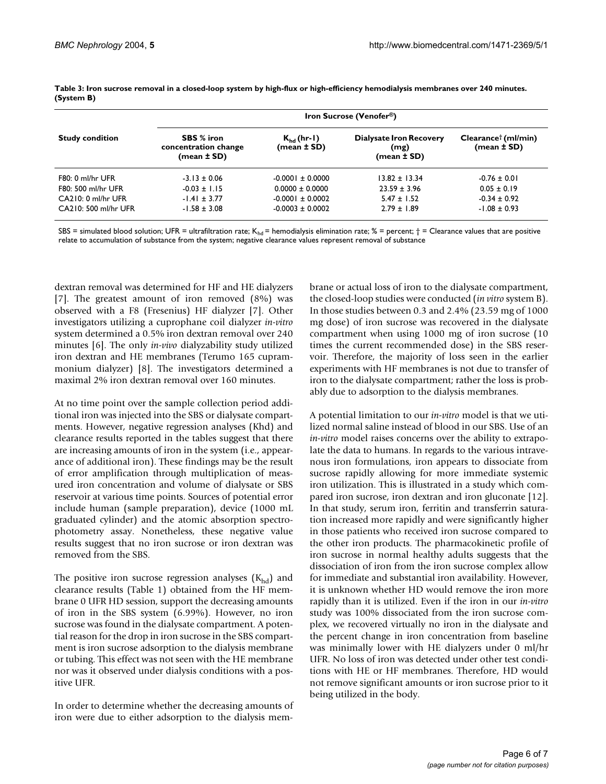| <b>Study condition</b> | <b>Iron Sucrose (Venofer®)</b>                        |                                |                                                       |                                                |
|------------------------|-------------------------------------------------------|--------------------------------|-------------------------------------------------------|------------------------------------------------|
|                        | SBS % iron<br>concentration change<br>$(mean \pm SD)$ | $K_{hd}$ (hr-1)<br>(mean ± SD) | <b>Dialysate Iron Recovery</b><br>(mg)<br>(mean ± SD) | Clearance <sup>†</sup> (ml/min)<br>(mean ± SD) |
| F80: 0 ml/hr UFR       | $-3.13 \pm 0.06$                                      | $-0.0001 \pm 0.0000$           | $13.82 \pm 13.34$                                     | $-0.76 \pm 0.01$                               |
| F80: 500 ml/hr UFR     | $-0.03 \pm 1.15$                                      | $0.0000 \pm 0.0000$            | $23.59 \pm 3.96$                                      | $0.05 \pm 0.19$                                |
| CA210: 0 ml/hr UFR     | $-1.41 \pm 3.77$                                      | $-0.0001 \pm 0.0002$           | $5.47 \pm 1.52$                                       | $-0.34 \pm 0.92$                               |
| CA210: 500 ml/hr UFR   | $-1.58 \pm 3.08$                                      | $-0.0003 \pm 0.0002$           | $2.79 \pm 1.89$                                       | $-1.08 \pm 0.93$                               |

<span id="page-5-0"></span>**Table 3: Iron sucrose removal in a closed-loop system by high-flux or high-efficiency hemodialysis membranes over 240 minutes. (System B)**

SBS = simulated blood solution; UFR = ultrafiltration rate;  $K_{hd}$  = hemodialysis elimination rate; % = percent;  $\dagger$  = Clearance values that are positive relate to accumulation of substance from the system; negative clearance values represent removal of substance

dextran removal was determined for HF and HE dialyzers [7]. The greatest amount of iron removed (8%) was observed with a F8 (Fresenius) HF dialyzer [7]. Other investigators utilizing a cuprophane coil dialyzer *in-vitro* system determined a 0.5% iron dextran removal over 240 minutes [6]. The only *in-vivo* dialyzability study utilized iron dextran and HE membranes (Terumo 165 cuprammonium dialyzer) [8]. The investigators determined a maximal 2% iron dextran removal over 160 minutes.

At no time point over the sample collection period additional iron was injected into the SBS or dialysate compartments. However, negative regression analyses (Khd) and clearance results reported in the tables suggest that there are increasing amounts of iron in the system (i.e., appearance of additional iron). These findings may be the result of error amplification through multiplication of measured iron concentration and volume of dialysate or SBS reservoir at various time points. Sources of potential error include human (sample preparation), device (1000 mL graduated cylinder) and the atomic absorption spectrophotometry assay. Nonetheless, these negative value results suggest that no iron sucrose or iron dextran was removed from the SBS.

The positive iron sucrose regression analyses  $(K_{hd})$  and clearance results (Table [1](#page-3-0)) obtained from the HF membrane 0 UFR HD session, support the decreasing amounts of iron in the SBS system (6.99%). However, no iron sucrose was found in the dialysate compartment. A potential reason for the drop in iron sucrose in the SBS compartment is iron sucrose adsorption to the dialysis membrane or tubing. This effect was not seen with the HE membrane nor was it observed under dialysis conditions with a positive UFR.

In order to determine whether the decreasing amounts of iron were due to either adsorption to the dialysis membrane or actual loss of iron to the dialysate compartment, the closed-loop studies were conducted (*in vitro* system B). In those studies between 0.3 and 2.4% (23.59 mg of 1000 mg dose) of iron sucrose was recovered in the dialysate compartment when using 1000 mg of iron sucrose (10 times the current recommended dose) in the SBS reservoir. Therefore, the majority of loss seen in the earlier experiments with HF membranes is not due to transfer of iron to the dialysate compartment; rather the loss is probably due to adsorption to the dialysis membranes.

A potential limitation to our *in-vitro* model is that we utilized normal saline instead of blood in our SBS. Use of an *in-vitro* model raises concerns over the ability to extrapolate the data to humans. In regards to the various intravenous iron formulations, iron appears to dissociate from sucrose rapidly allowing for more immediate systemic iron utilization. This is illustrated in a study which compared iron sucrose, iron dextran and iron gluconate [12]. In that study, serum iron, ferritin and transferrin saturation increased more rapidly and were significantly higher in those patients who received iron sucrose compared to the other iron products. The pharmacokinetic profile of iron sucrose in normal healthy adults suggests that the dissociation of iron from the iron sucrose complex allow for immediate and substantial iron availability. However, it is unknown whether HD would remove the iron more rapidly than it is utilized. Even if the iron in our *in-vitro* study was 100% dissociated from the iron sucrose complex, we recovered virtually no iron in the dialysate and the percent change in iron concentration from baseline was minimally lower with HE dialyzers under 0 ml/hr UFR. No loss of iron was detected under other test conditions with HE or HF membranes. Therefore, HD would not remove significant amounts or iron sucrose prior to it being utilized in the body.